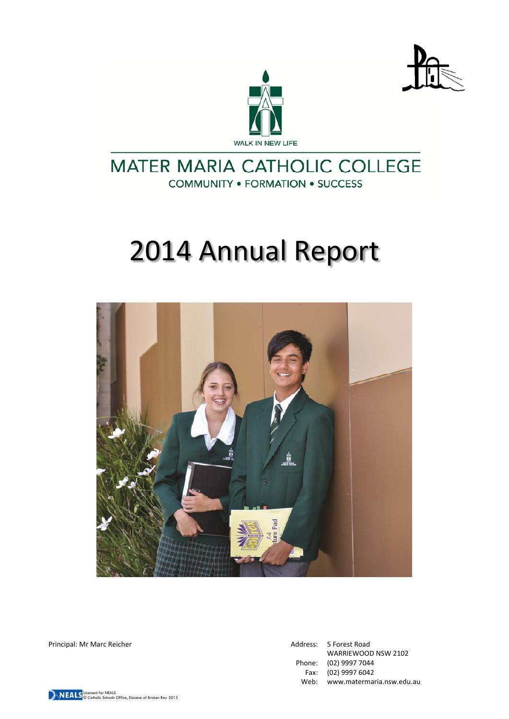



# **MATER MARIA CATHOLIC COLLEGE COMMUNITY . FORMATION . SUCCESS**

# 2014 Annual Report



Principal: Mr Marc Reicher Address: 5 Forest Road

WARRIEWOOD NSW 2102 Phone: (02) 9997 7044 Fax: (02) 9997 6042 Web: www.matermaria.nsw.edu.au

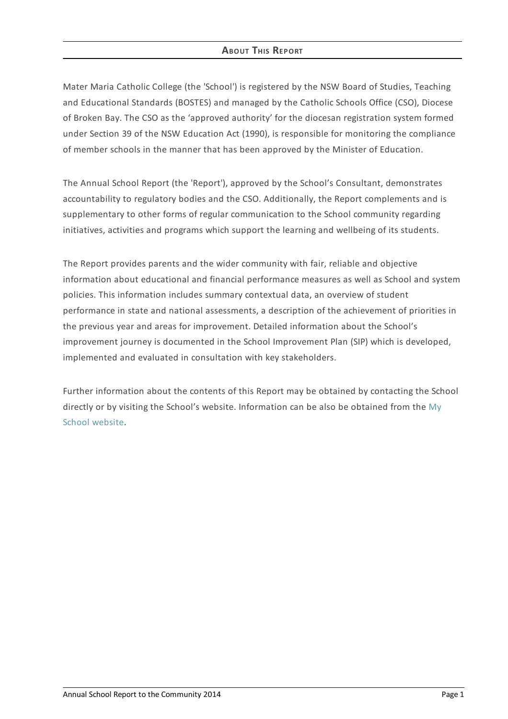# **ABOUT THIS REPORT**

Mater Maria Catholic College (the 'School') is registered by the NSW Board of Studies, Teaching and Educational Standards (BOSTES) and managed by the Catholic Schools Office (CSO), Diocese of Broken Bay. The CSO as the 'approved authority' for the diocesan registration system formed under Section 39 of the NSW Education Act (1990), is responsible for monitoring the compliance of member schools in the manner that has been approved by the Minister of Education.

The Annual School Report (the 'Report'), approved by the School's Consultant, demonstrates accountability to regulatory bodies and the CSO. Additionally, the Report complements and is supplementary to other forms of regular communication to the School community regarding initiatives, activities and programs which support the learning and wellbeing of its students.

The Report provides parents and the wider community with fair, reliable and objective information about educational and financial performance measures as well as School and system policies. This information includes summary contextual data, an overview of student performance in state and national assessments, a description of the achievement of priorities in the previous year and areas for improvement. Detailed information about the School's improvement journey is documented in the School Improvement Plan (SIP) which is developed, implemented and evaluated in consultation with key stakeholders.

Further information about the contents of this Report may be obtained by contacting the School directly or by visiting the School's website. [Information](http://www.myschool.edu.au/) can be also be obtained from the My School website.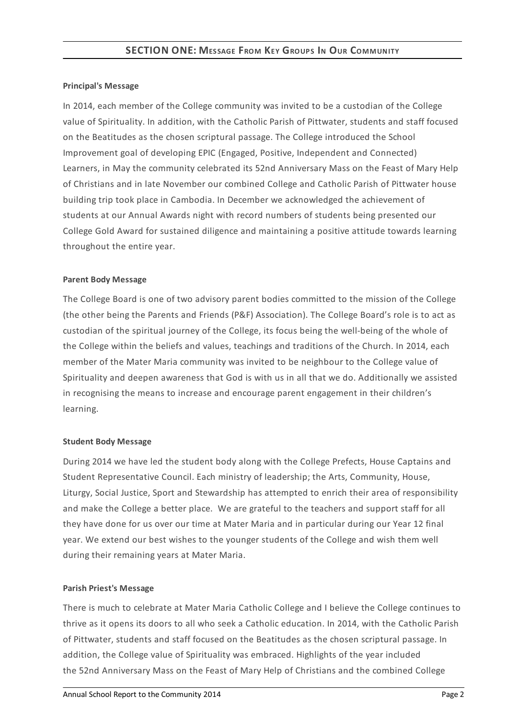#### **Principal's Message**

In 2014, each member of the College community was invited to be a custodian of the College value of Spirituality. In addition, with the Catholic Parish of Pittwater, students and staff focused on the Beatitudes as the chosen scriptural passage. The College introduced the School Improvement goal of developing EPIC (Engaged, Positive, Independent and Connected) Learners, in May the community celebrated its 52nd Anniversary Mass on the Feast of Mary Help of Christians and in late November our combined College and Catholic Parish of Pittwater house building trip took place in Cambodia. In December we acknowledged the achievement of students at our Annual Awards night with record numbers of students being presented our College Gold Award for sustained diligence and maintaining a positive attitude towards learning throughout the entire year.

#### **Parent Body Message**

The College Board is one of two advisory parent bodies committed to the mission of the College (the other being the Parents and Friends (P&F) Association). The College Board's role is to act as custodian of the spiritual journey of the College, its focus being the well-being of the whole of the College within the beliefs and values, teachings and traditions of the Church. In 2014, each member of the Mater Maria community was invited to be neighbour to the College value of Spirituality and deepen awareness that God is with us in all that we do. Additionally we assisted in recognising the means to increase and encourage parent engagement in their children's learning.

#### **Student Body Message**

During 2014 we have led the student body along with the College Prefects, House Captains and Student Representative Council. Each ministry of leadership; the Arts, Community, House, Liturgy, Social Justice, Sport and Stewardship has attempted to enrich their area of responsibility and make the College a better place. We are grateful to the teachers and support staff for all they have done for us over our time at Mater Maria and in particular during our Year 12 final year. We extend our best wishes to the younger students of the College and wish them well during their remaining years at Mater Maria.

#### **Parish Priest's Message**

There is much to celebrate at Mater Maria Catholic College and I believe the College continues to thrive as it opens its doors to all who seek a Catholic education. In 2014, with the Catholic Parish of Pittwater, students and staff focused on the Beatitudes as the chosen scriptural passage. In addition, the College value of Spirituality was embraced. Highlights of the year included the 52nd Anniversary Mass on the Feast of Mary Help of Christians and the combined College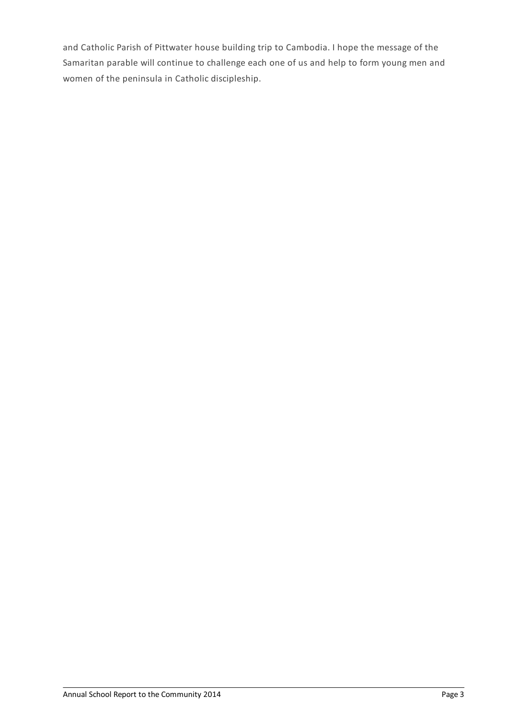and Catholic Parish of Pittwater house building trip to Cambodia. I hope the message of the Samaritan parable will continue to challenge each one of us and help to form young men and women of the peninsula in Catholic discipleship.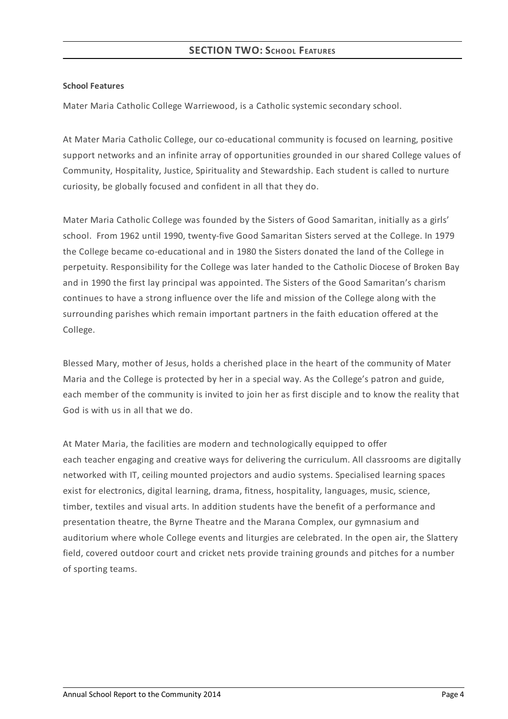#### **School Features**

Mater Maria Catholic College Warriewood, is a Catholic systemic secondary school.

At Mater Maria Catholic College, our co-educational community is focused on learning, positive support networks and an infinite array of opportunities grounded in our shared College values of Community, Hospitality, Justice, Spirituality and Stewardship. Each student is called to nurture curiosity, be globally focused and confident in all that they do.

Mater Maria Catholic College was founded by the Sisters of Good Samaritan, initially as a girls' school. From 1962 until 1990, twenty-five Good Samaritan Sisters served at the College. In 1979 the College became co-educational and in 1980 the Sisters donated the land of the College in perpetuity. Responsibility for the College was later handed to the Catholic Diocese of Broken Bay and in 1990 the first lay principal was appointed. The Sisters of the Good Samaritan's charism continues to have a strong influence over the life and mission of the College along with the surrounding parishes which remain important partners in the faith education offered at the College.

Blessed Mary, mother of Jesus, holds a cherished place in the heart of the community of Mater Maria and the College is protected by her in a special way. As the College's patron and guide, each member of the community is invited to join her as first disciple and to know the reality that God is with us in all that we do.

At Mater Maria, the facilities are modern and technologically equipped to offer each teacher engaging and creative ways for delivering the curriculum. All classrooms are digitally networked with IT, ceiling mounted projectors and audio systems. Specialised learning spaces exist for electronics, digital learning, drama, fitness, hospitality, languages, music, science, timber, textiles and visual arts. In addition students have the benefit of a performance and presentation theatre, the Byrne Theatre and the Marana Complex, our gymnasium and auditorium where whole College events and liturgies are celebrated. In the open air, the Slattery field, covered outdoor court and cricket nets provide training grounds and pitches for a number of sporting teams.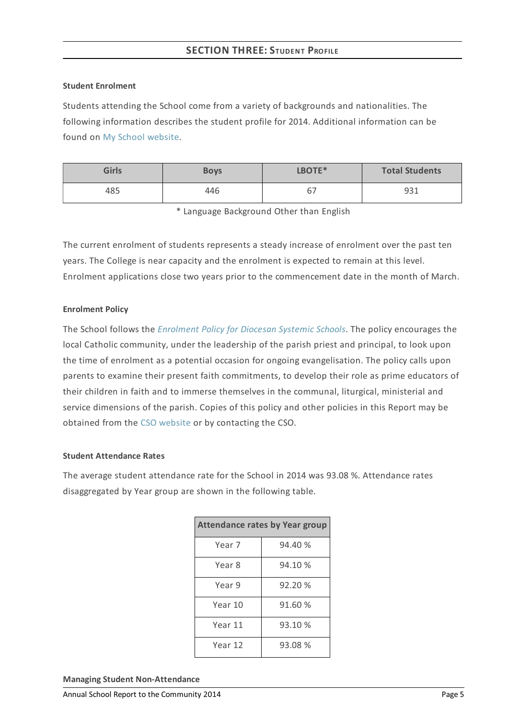#### **Student Enrolment**

Students attending the School come from a variety of backgrounds and nationalities. The following information describes the student profile for 2014. Additional information can be found on My School [website](http://www.myschool.edu.au/).

| <b>Girls</b> | <b>Boys</b> | LBOTE*                         | <b>Total Students</b> |
|--------------|-------------|--------------------------------|-----------------------|
| 485          | 446         | $\overline{\phantom{0}}$<br>ь. | 931                   |

\* Language Background Other than English

The current enrolment of students represents a steady increase of enrolment over the past ten years. The College is near capacity and the enrolment is expected to remain at this level. Enrolment applications close two years prior to the commencement date in the month of March.

#### **Enrolment Policy**

The School follows the *[Enrolment](https://www.csodbb.catholic.edu.au/about/dsp-collection.cfm?loadref=125) Policy for Diocesan Systemic Schools*. The policy encourages the local Catholic community, under the leadership of the parish priest and principal, to look upon the time of enrolment as a potential occasion for ongoing evangelisation. The policy calls upon parents to examine their present faith commitments, to develop their role as prime educators of their children in faith and to immerse themselves in the communal, liturgical, ministerial and service dimensions of the parish. Copies of this policy and other policies in this Report may be obtained from the CSO [website](https://www.csodbb.catholic.edu.au/index.cfm) or by contacting the CSO.

#### **Student Attendance Rates**

The average student attendance rate for the School in 2014 was 93.08 %. Attendance rates disaggregated by Year group are shown in the following table.

| <b>Attendance rates by Year group</b> |         |  |  |  |
|---------------------------------------|---------|--|--|--|
| Year 7                                | 94.40 % |  |  |  |
| Year 8                                | 94.10 % |  |  |  |
| Year 9                                | 92.20 % |  |  |  |
| Year 10                               | 91.60 % |  |  |  |
| Year 11                               | 93.10 % |  |  |  |
| Year 12                               | 93.08 % |  |  |  |

**Managing Student Non-Attendance**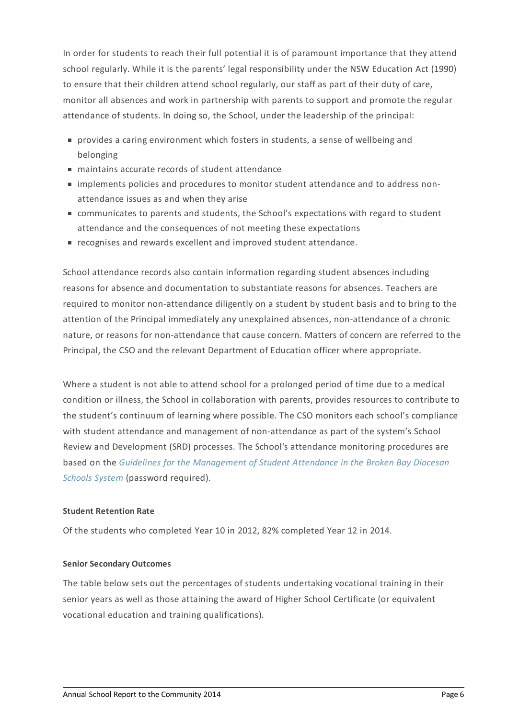In order for students to reach their full potential it is of paramount importance that they attend school regularly. While it is the parents' legal responsibility under the NSW Education Act (1990) to ensure that their children attend school regularly, our staff as part of their duty of care, monitor all absences and work in partnership with parents to support and promote the regular attendance of students. In doing so, the School, under the leadership of the principal:

- provides a caring environment which fosters in students, a sense of wellbeing and belonging
- maintains accurate records of student attendance
- $\blacksquare$  implements policies and procedures to monitor student attendance and to address nonattendance issues as and when they arise
- communicates to parents and students, the School's expectations with regard to student attendance and the consequences of not meeting these expectations
- recognises and rewards excellent and improved student attendance.

School attendance records also contain information regarding student absences including reasons for absence and documentation to substantiate reasons for absences. Teachers are required to monitor non-attendance diligently on a student by student basis and to bring to the attention of the Principal immediately any unexplained absences, non-attendance of a chronic nature, or reasons for non-attendance that cause concern. Matters of concern are referred to the Principal, the CSO and the relevant Department of Education officer where appropriate.

Where a student is not able to attend school for a prolonged period of time due to a medical condition or illness, the School in collaboration with parents, provides resources to contribute to the student's continuum of learning where possible. The CSO monitors each school's compliance with student attendance and management of non-attendance as part of the system's School Review and Development (SRD) processes. The School's attendance monitoring procedures are based on the *Guidelines for the [Management](http://srd.dbbcso.org/attendance--enrolment.html) of Student Attendance in the Broken Bay Diocesan Schools System* (password required).

#### **Student Retention Rate**

Of the students who completed Year 10 in 2012, 82% completed Year 12 in 2014.

#### **Senior Secondary Outcomes**

The table below sets out the percentages of students undertaking vocational training in their senior years as well as those attaining the award of Higher School Certificate (or equivalent vocational education and training qualifications).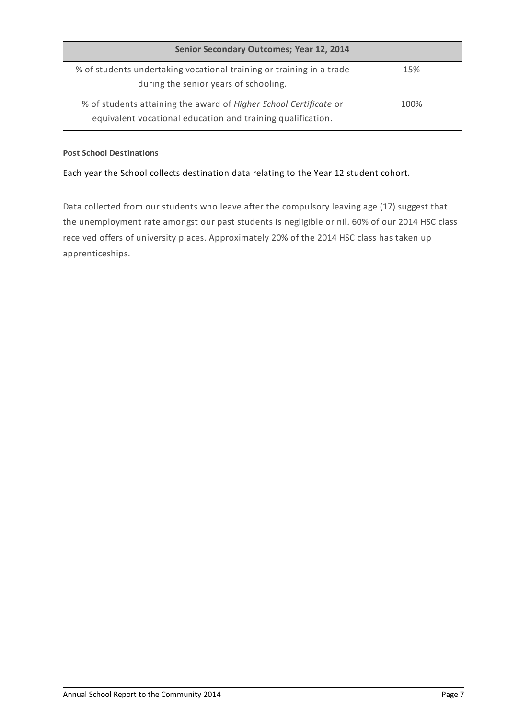| Senior Secondary Outcomes; Year 12, 2014                                                                                         |      |  |  |
|----------------------------------------------------------------------------------------------------------------------------------|------|--|--|
| % of students undertaking vocational training or training in a trade<br>during the senior years of schooling.                    | 15%  |  |  |
| % of students attaining the award of Higher School Certificate or<br>equivalent vocational education and training qualification. | 100% |  |  |

#### **Post School Destinations**

#### Each year the School collects destination data relating to the Year 12 student cohort.

Data collected from our students who leave after the compulsory leaving age (17) suggest that the unemployment rate amongst our past students is negligible or nil. 60% of our 2014 HSC class received offers of university places. Approximately 20% of the 2014 HSC class has taken up apprenticeships.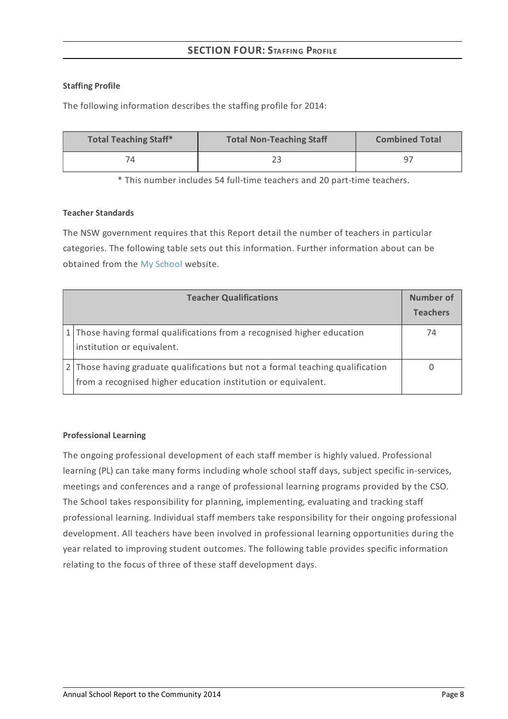# **SECTION FOUR:STAFFING PROFILE**

#### **Staffing Profile**

The following information describes the staffing profile for 2014:

| <b>Total Teaching Staff*</b> | <b>Total Non-Teaching Staff</b> | <b>Combined Total</b> |
|------------------------------|---------------------------------|-----------------------|
|                              | วว                              | ° - q                 |

\* This number includes 54 full-time teachers and 20 part-time teachers.

# **Teacher Standards**

The NSW government requires that this Report detail the number of teachers in particular categories. The following table sets out this information. Further information about can be obtained from the My [School](http://www.myschool.edu.au/) website.

| <b>Teacher Qualifications</b>                                                                                                                   |    |
|-------------------------------------------------------------------------------------------------------------------------------------------------|----|
| 1 Those having formal qualifications from a recognised higher education<br>institution or equivalent.                                           | 74 |
| 2 Those having graduate qualifications but not a formal teaching qualification<br>from a recognised higher education institution or equivalent. |    |

#### **Professional Learning**

The ongoing professional development of each staff member is highly valued. Professional learning (PL) can take many forms including whole school staff days, subject specific in-services, meetings and conferences and a range of professional learning programs provided by the CSO. The School takes responsibility for planning, implementing, evaluating and tracking staff professional learning. Individual staff members take responsibility for their ongoing professional development. All teachers have been involved in professional learning opportunities during the year related to improving student outcomes. The following table provides specific information relating to the focus of three of these staff development days.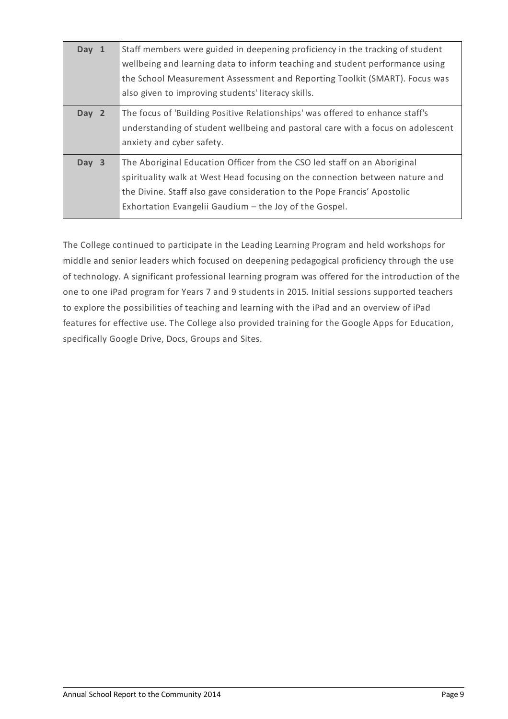| Day 1 | Staff members were guided in deepening proficiency in the tracking of student<br>wellbeing and learning data to inform teaching and student performance using<br>the School Measurement Assessment and Reporting Toolkit (SMART). Focus was<br>also given to improving students' literacy skills. |
|-------|---------------------------------------------------------------------------------------------------------------------------------------------------------------------------------------------------------------------------------------------------------------------------------------------------|
| Day 2 | The focus of 'Building Positive Relationships' was offered to enhance staff's<br>understanding of student wellbeing and pastoral care with a focus on adolescent<br>anxiety and cyber safety.                                                                                                     |
| Day 3 | The Aboriginal Education Officer from the CSO led staff on an Aboriginal<br>spirituality walk at West Head focusing on the connection between nature and<br>the Divine. Staff also gave consideration to the Pope Francis' Apostolic<br>Exhortation Evangelii Gaudium - the Joy of the Gospel.    |

The College continued to participate in the Leading Learning Program and held workshops for middle and senior leaders which focused on deepening pedagogical proficiency through the use of technology. A significant professional learning program was offered for the introduction of the one to one iPad program for Years 7 and 9 students in 2015. Initial sessions supported teachers to explore the possibilities of teaching and learning with the iPad and an overview of iPad features for effective use. The College also provided training for the Google Apps for Education, specifically Google Drive, Docs, Groups and Sites.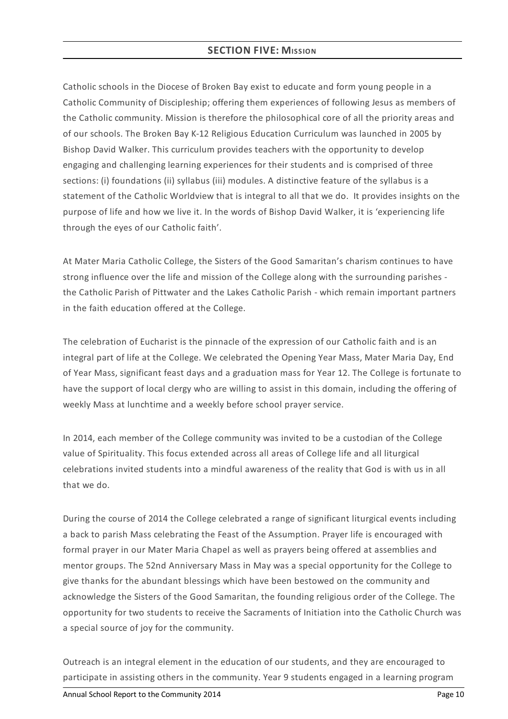# **SECTION FIVE: MISSION**

Catholic schools in the Diocese of Broken Bay exist to educate and form young people in a Catholic Community of Discipleship; offering them experiences of following Jesus as members of the Catholic community. Mission is therefore the philosophical core of all the priority areas and of our schools. The Broken Bay K-12 Religious Education Curriculum was launched in 2005 by Bishop David Walker. This curriculum provides teachers with the opportunity to develop engaging and challenging learning experiences for their students and is comprised of three sections: (i) foundations (ii) syllabus (iii) modules. A distinctive feature of the syllabus is a statement of the Catholic Worldview that is integral to all that we do. It provides insights on the purpose of life and how we live it. In the words of Bishop David Walker, it is 'experiencing life through the eyes of our Catholic faith'.

At Mater Maria Catholic College, the Sisters of the Good Samaritan's charism continues to have strong influence over the life and mission of the College along with the surrounding parishes the Catholic Parish of Pittwater and the Lakes Catholic Parish - which remain important partners in the faith education offered at the College.

The celebration of Eucharist is the pinnacle of the expression of our Catholic faith and is an integral part of life at the College. We celebrated the Opening Year Mass, Mater Maria Day, End of Year Mass, significant feast days and a graduation mass for Year 12. The College is fortunate to have the support of local clergy who are willing to assist in this domain, including the offering of weekly Mass at lunchtime and a weekly before school prayer service.

In 2014, each member of the College community was invited to be a custodian of the College value of Spirituality. This focus extended across all areas of College life and all liturgical celebrations invited students into a mindful awareness of the reality that God is with us in all that we do.

During the course of 2014 the College celebrated a range of significant liturgical events including a back to parish Mass celebrating the Feast of the Assumption. Prayer life is encouraged with formal prayer in our Mater Maria Chapel as well as prayers being offered at assemblies and mentor groups. The 52nd Anniversary Mass in May was a special opportunity for the College to give thanks for the abundant blessings which have been bestowed on the community and acknowledge the Sisters of the Good Samaritan, the founding religious order of the College. The opportunity for two students to receive the Sacraments of Initiation into the Catholic Church was a special source of joy for the community.

Outreach is an integral element in the education of our students, and they are encouraged to participate in assisting others in the community. Year 9 students engaged in a learning program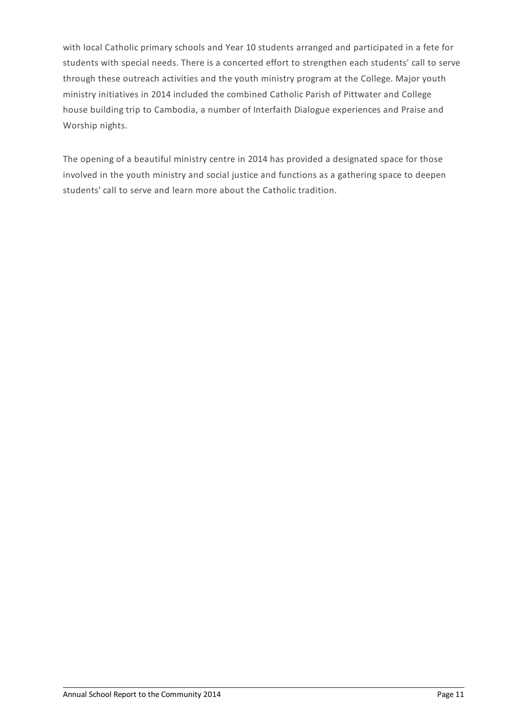with local Catholic primary schools and Year 10 students arranged and participated in a fete for students with special needs. There is a concerted effort to strengthen each students' call to serve through these outreach activities and the youth ministry program at the College. Major youth ministry initiatives in 2014 included the combined Catholic Parish of Pittwater and College house building trip to Cambodia, a number of Interfaith Dialogue experiences and Praise and Worship nights.

The opening of a beautiful ministry centre in 2014 has provided a designated space for those involved in the youth ministry and social justice and functions as a gathering space to deepen students' call to serve and learn more about the Catholic tradition.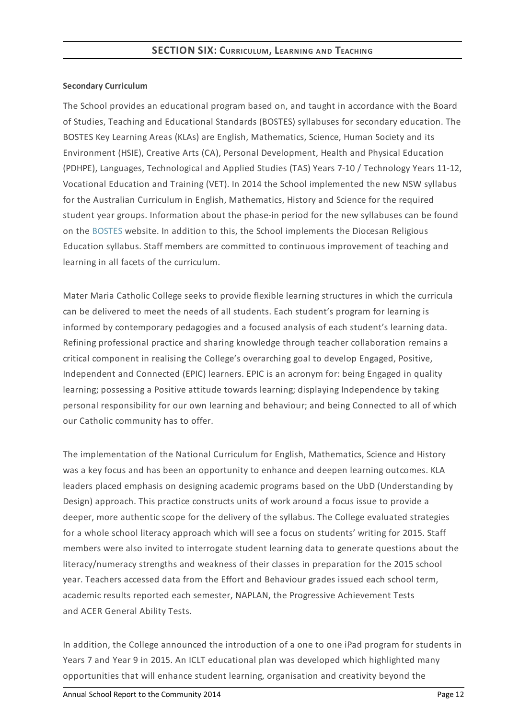#### **Secondary Curriculum**

The School provides an educational program based on, and taught in accordance with the Board of Studies, Teaching and Educational Standards (BOSTES) syllabuses for secondary education. The BOSTES Key Learning Areas (KLAs) are English, Mathematics, Science, Human Society and its Environment (HSIE), Creative Arts (CA), Personal Development, Health and Physical Education (PDHPE), Languages, Technological and Applied Studies (TAS) Years 7-10 / Technology Years 11-12, Vocational Education and Training (VET). In 2014 the School implemented the new NSW syllabus for the Australian Curriculum in English, Mathematics, History and Science for the required student year groups. Information about the phase-in period for the new syllabuses can be found on the [BOSTES](http://news.boardofstudies.nsw.edu.au/index.cfm/2014/2/14/New-NSW-Syllabus-Implementation-Schedule-No-changes) website. In addition to this, the School implements the Diocesan Religious Education syllabus. Staff members are committed to continuous improvement of teaching and learning in all facets of the curriculum.

Mater Maria Catholic College seeks to provide flexible learning structures in which the curricula can be delivered to meet the needs of all students. Each student's program for learning is informed by contemporary pedagogies and a focused analysis of each student's learning data. Refining professional practice and sharing knowledge through teacher collaboration remains a critical component in realising the College's overarching goal to develop Engaged, Positive, Independent and Connected (EPIC) learners. EPIC is an acronym for: being Engaged in quality learning; possessing a Positive attitude towards learning; displaying Independence by taking personal responsibility for our own learning and behaviour; and being Connected to all of which our Catholic community has to offer.

The implementation of the National Curriculum for English, Mathematics, Science and History was a key focus and has been an opportunity to enhance and deepen learning outcomes. KLA leaders placed emphasis on designing academic programs based on the UbD (Understanding by Design) approach. This practice constructs units of work around a focus issue to provide a deeper, more authentic scope for the delivery of the syllabus. The College evaluated strategies for a whole school literacy approach which will see a focus on students' writing for 2015. Staff members were also invited to interrogate student learning data to generate questions about the literacy/numeracy strengths and weakness of their classes in preparation for the 2015 school year. Teachers accessed data from the Effort and Behaviour grades issued each school term, academic results reported each semester, NAPLAN, the Progressive Achievement Tests and ACER General Ability Tests.

In addition, the College announced the introduction of a one to one iPad program for students in Years 7 and Year 9 in 2015. An ICLT educational plan was developed which highlighted many opportunities that will enhance student learning, organisation and creativity beyond the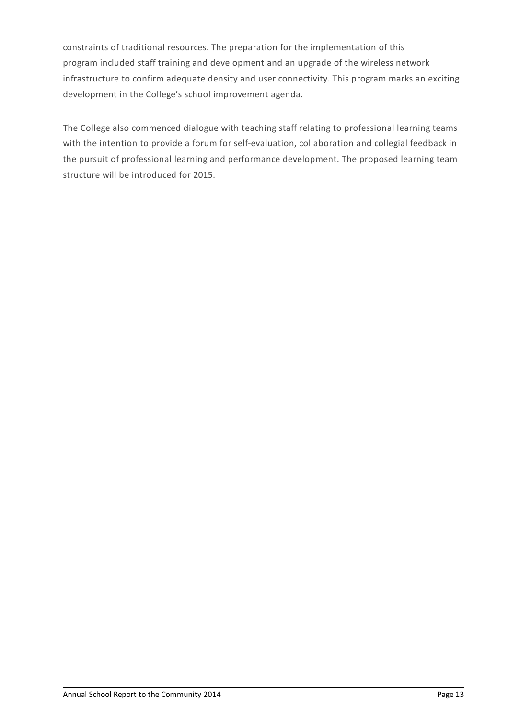constraints of traditional resources. The preparation for the implementation of this program included staff training and development and an upgrade of the wireless network infrastructure to confirm adequate density and user connectivity. This program marks an exciting development in the College's school improvement agenda.

The College also commenced dialogue with teaching staff relating to professional learning teams with the intention to provide a forum for self-evaluation, collaboration and collegial feedback in the pursuit of professional learning and performance development. The proposed learning team structure will be introduced for 2015.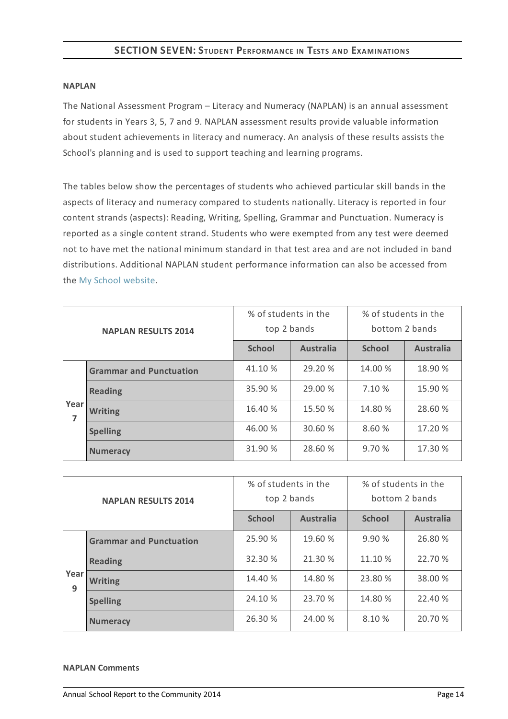# **SECTION SEVEN:STUDENT PERFORMANCE IN TESTS AND EXAMINATIONS**

#### **NAPLAN**

The National Assessment Program – Literacy and Numeracy (NAPLAN) is an annual assessment for students in Years 3, 5, 7 and 9. NAPLAN assessment results provide valuable information about student achievements in literacy and numeracy. An analysis of these results assists the School's planning and is used to support teaching and learning programs.

The tables below show the percentages of students who achieved particular skill bands in the aspects of literacy and numeracy compared to students nationally. Literacy is reported in four content strands (aspects): Reading, Writing, Spelling, Grammar and Punctuation. Numeracy is reported as a single content strand. Students who were exempted from any test were deemed not to have met the national minimum standard in that test area and are not included in band distributions. Additional NAPLAN student performance information can also be accessed from the My School [website](http://www.myschool.edu.au/).

| <b>NAPLAN RESULTS 2014</b>     |                 | % of students in the<br>top 2 bands |                  | % of students in the<br>bottom 2 bands |                  |  |
|--------------------------------|-----------------|-------------------------------------|------------------|----------------------------------------|------------------|--|
|                                |                 | <b>School</b>                       | <b>Australia</b> | <b>School</b>                          | <b>Australia</b> |  |
| <b>Grammar and Punctuation</b> |                 | 41.10 %                             | 29.20 %          | 14.00 %                                | 18.90 %          |  |
| Year<br>7                      | <b>Reading</b>  | 35.90 %                             | 29.00 %          | 7.10 %                                 | 15.90 %          |  |
|                                | <b>Writing</b>  | 16.40 %                             | 15.50 %          | 14.80 %                                | 28.60 %          |  |
|                                | <b>Spelling</b> | 46.00 %                             | 30.60 %          | 8.60 %                                 | 17.20 %          |  |
|                                | <b>Numeracy</b> | 31.90 %                             | 28.60 %          | 9.70 %                                 | 17.30 %          |  |

| <b>NAPLAN RESULTS 2014</b> |                                | % of students in the<br>top 2 bands |                  | % of students in the<br>bottom 2 bands |                  |  |
|----------------------------|--------------------------------|-------------------------------------|------------------|----------------------------------------|------------------|--|
|                            |                                | <b>School</b>                       | <b>Australia</b> | <b>School</b>                          | <b>Australia</b> |  |
|                            | <b>Grammar and Punctuation</b> | 25.90 %                             | 19.60 %          | 9.90%                                  | 26.80 %          |  |
| Year<br>9                  | <b>Reading</b>                 | 32.30 %                             | 21.30 %          | 11.10 %                                | 22.70 %          |  |
|                            | <b>Writing</b>                 | 14.40 %                             | 14.80 %          | 23.80 %                                | 38.00 %          |  |
|                            | <b>Spelling</b>                | 24.10 %                             | 23.70 %          | 14.80 %                                | 22.40 %          |  |
|                            | <b>Numeracy</b>                | 26.30 %                             | 24.00 %          | 8.10 %                                 | 20.70 %          |  |

#### **NAPLAN Comments**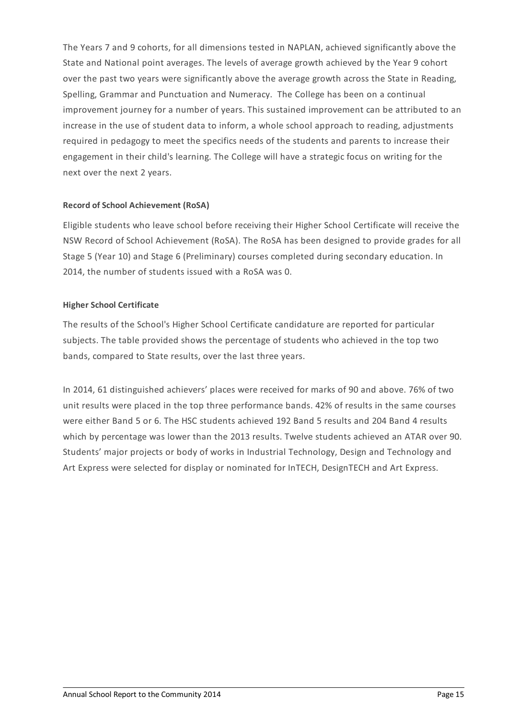The Years 7 and 9 cohorts, for all dimensions tested in NAPLAN, achieved significantly above the State and National point averages. The levels of average growth achieved by the Year 9 cohort over the past two years were significantly above the average growth across the State in Reading, Spelling, Grammar and Punctuation and Numeracy. The College has been on a continual improvement journey for a number of years. This sustained improvement can be attributed to an increase in the use of student data to inform, a whole school approach to reading, adjustments required in pedagogy to meet the specifics needs of the students and parents to increase their engagement in their child's learning. The College will have a strategic focus on writing for the next over the next 2 years.

# **Record of School Achievement (RoSA)**

Eligible students who leave school before receiving their Higher School Certificate will receive the NSW Record of School Achievement (RoSA). The RoSA has been designed to provide grades for all Stage 5 (Year 10) and Stage 6 (Preliminary) courses completed during secondary education. In 2014, the number of students issued with a RoSA was 0.

# **Higher School Certificate**

The results of the School's Higher School Certificate candidature are reported for particular subjects. The table provided shows the percentage of students who achieved in the top two bands, compared to State results, over the last three years.

In 2014, 61 distinguished achievers' places were received for marks of 90 and above. 76% of two unit results were placed in the top three performance bands. 42% of results in the same courses were either Band 5 or 6. The HSC students achieved 192 Band 5 results and 204 Band 4 results which by percentage was lower than the 2013 results. Twelve students achieved an ATAR over 90. Students' major projects or body of works in Industrial Technology, Design and Technology and Art Express were selected for display or nominated for InTECH, DesignTECH and Art Express.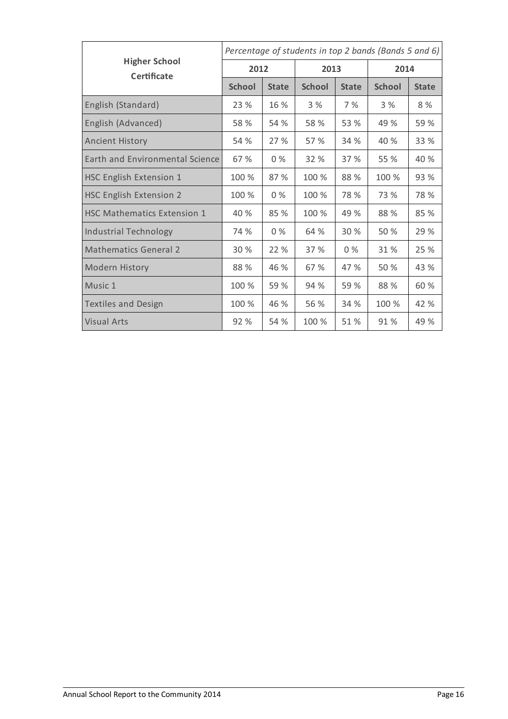|                                            | Percentage of students in top 2 bands (Bands 5 and 6) |              |               |              |               |              |
|--------------------------------------------|-------------------------------------------------------|--------------|---------------|--------------|---------------|--------------|
| <b>Higher School</b><br><b>Certificate</b> | 2012                                                  |              | 2013          |              | 2014          |              |
|                                            | <b>School</b>                                         | <b>State</b> | <b>School</b> | <b>State</b> | <b>School</b> | <b>State</b> |
| English (Standard)                         | 23 %                                                  | 16 %         | 3%            | 7%           | 3%            | 8 %          |
| English (Advanced)                         | 58 %                                                  | 54 %         | 58 %          | 53 %         | 49 %          | 59 %         |
| <b>Ancient History</b>                     | 54 %                                                  | 27 %         | 57 %          | 34 %         | 40 %          | 33 %         |
| Earth and Environmental Science            | 67 %                                                  | $0\%$        | 32 %          | 37 %         | 55 %          | 40 %         |
| <b>HSC English Extension 1</b>             | 100 %                                                 | 87 %         | 100 %         | 88 %         | 100 %         | 93 %         |
| <b>HSC English Extension 2</b>             | 100 %                                                 | $0\%$        | 100 %         | 78 %         | 73 %          | 78 %         |
| <b>HSC Mathematics Extension 1</b>         | 40 %                                                  | 85 %         | 100 %         | 49 %         | 88 %          | 85 %         |
| <b>Industrial Technology</b>               | 74 %                                                  | $0\%$        | 64 %          | 30 %         | 50 %          | 29 %         |
| <b>Mathematics General 2</b>               | 30 %                                                  | 22 %         | 37 %          | $0\%$        | 31 %          | 25 %         |
| Modern History                             | 88 %                                                  | 46 %         | 67 %          | 47 %         | 50 %          | 43 %         |
| Music 1                                    | 100 %                                                 | 59 %         | 94 %          | 59 %         | 88 %          | 60 %         |
| <b>Textiles and Design</b>                 | 100 %                                                 | 46 %         | 56 %          | 34 %         | 100 %         | 42 %         |
| Visual Arts                                | 92 %                                                  | 54 %         | 100 %         | 51 %         | 91 %          | 49 %         |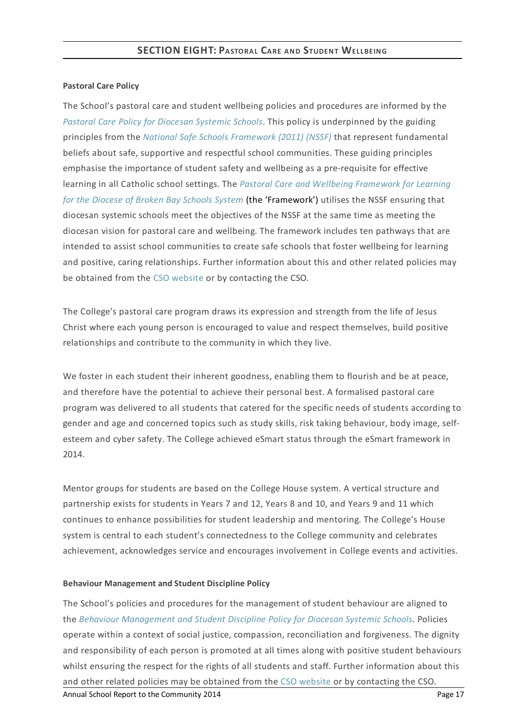#### **Pastoral Care Policy**

The School's pastoral care and student wellbeing policies and procedures are informed by the *Pastoral Care Policy for [Diocesan](https://www.csodbb.catholic.edu.au/about/dsp-collection.cfm?loadref=125) Systemic Schools*. This policy is underpinned by the guiding principles from the *National Safe Schools [Framework](https://www.education.gov.au/national-safe-schools-framework-0) (2011) (NSSF)* that represent fundamental beliefs about safe, supportive and respectful school communities. These guiding principles emphasise the importance of student safety and wellbeing as a pre-requisite for effective learning in all Catholic school settings. The *Pastoral Care and Wellbeing Framework for Learning for the Diocese of Broken Bay Schools System* (the ['Framework'\)](https://www.csodbb.catholic.edu.au/studentwellbeing/dsp-default.cfm?loadref=140) utilises the NSSF ensuring that diocesan systemic schools meet the objectives of the NSSF at the same time as meeting the diocesan vision for pastoral care and wellbeing. The framework includes ten pathways that are intended to assist school communities to create safe schools that foster wellbeing for learning and positive, caring relationships. Further information about this and other related policies may be obtained from the CSO [website](https://www.csodbb.catholic.edu.au/about/dsp-collection.cfm?loadref=125) or by contacting the CSO.

The College's pastoral care program draws its expression and strength from the life of Jesus Christ where each young person is encouraged to value and respect themselves, build positive relationships and contribute to the community in which they live.

We foster in each student their inherent goodness, enabling them to flourish and be at peace, and therefore have the potential to achieve their personal best. A formalised pastoral care program was delivered to all students that catered for the specific needs of students according to gender and age and concerned topics such as study skills, risk taking behaviour, body image, selfesteem and cyber safety. The College achieved eSmart status through the eSmart framework in 2014.

Mentor groups for students are based on the College House system. A vertical structure and partnership exists for students in Years 7 and 12, Years 8 and 10, and Years 9 and 11 which continues to enhance possibilities for student leadership and mentoring. The College's House system is central to each student's connectedness to the College community and celebrates achievement, acknowledges service and encourages involvement in College events and activities.

#### **Behaviour Management and Student Discipline Policy**

The School's policies and procedures for the management of student behaviour are aligned to the *Behaviour [Management](https://www.csodbb.catholic.edu.au/about/dsp-collection.cfm?loadref=125) and Student Discipline Policy for Diocesan Systemic Schools.* Policies operate within a context of social justice, compassion, reconciliation and forgiveness. The dignity and responsibility of each person is promoted at all times along with positive student behaviours whilst ensuring the respect for the rights of all students and staff. Further information about this and other related policies may be obtained from the CSO [website](https://www.csodbb.catholic.edu.au/about/dsp-collection.cfm?loadref=125) or by contacting the CSO. Annual School Report to the Community 2014 **Page 17** Annual School Report to the Community 2014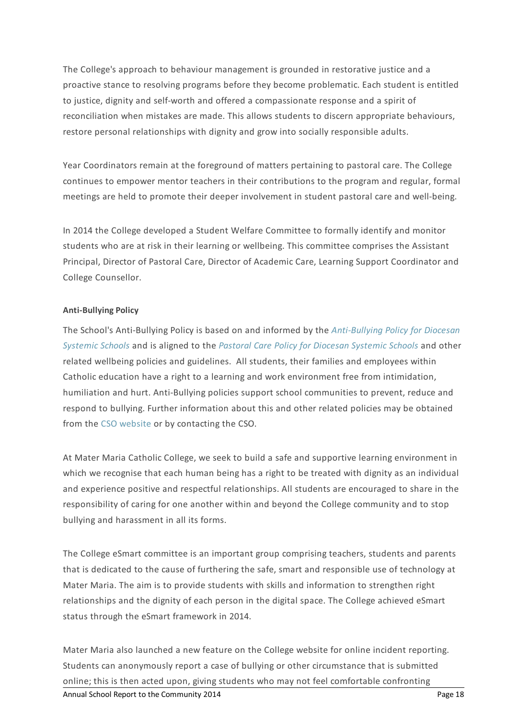The College's approach to behaviour management is grounded in restorative justice and a proactive stance to resolving programs before they become problematic. Each student is entitled to justice, dignity and self-worth and offered a compassionate response and a spirit of reconciliation when mistakes are made. This allows students to discern appropriate behaviours, restore personal relationships with dignity and grow into socially responsible adults.

Year Coordinators remain at the foreground of matters pertaining to pastoral care. The College continues to empower mentor teachers in their contributions to the program and regular, formal meetings are held to promote their deeper involvement in student pastoral care and well-being.

In 2014 the College developed a Student Welfare Committee to formally identify and monitor students who are at risk in their learning or wellbeing. This committee comprises the Assistant Principal, Director of Pastoral Care, Director of Academic Care, Learning Support Coordinator and College Counsellor.

#### **Anti-Bullying Policy**

The School's [Anti-Bullying](https://www.csodbb.catholic.edu.au/about/dsp-collection.cfm?loadref=125) Policy is based on and informed by the *Anti-Bullying Policy for Diocesan Systemic Schools* and is aligned to the *Pastoral Care Policy for [Diocesan](https://www.csodbb.catholic.edu.au/about/dsp-collection.cfm?loadref=125) Systemic Schools* and other related wellbeing policies and guidelines. All students, their families and employees within Catholic education have a right to a learning and work environment free from intimidation, humiliation and hurt. Anti-Bullying policies support school communities to prevent, reduce and respond to bullying. Further information about this and other related policies may be obtained from the CSO [website](https://www.csodbb.catholic.edu.au/about/dsp-collection.cfm?loadref=125) or by contacting the CSO.

At Mater Maria Catholic College, we seek to build a safe and supportive learning environment in which we recognise that each human being has a right to be treated with dignity as an individual and experience positive and respectful relationships. All students are encouraged to share in the responsibility of caring for one another within and beyond the College community and to stop bullying and harassment in all its forms.

The College eSmart committee is an important group comprising teachers, students and parents that is dedicated to the cause of furthering the safe, smart and responsible use of technology at Mater Maria. The aim is to provide students with skills and information to strengthen right relationships and the dignity of each person in the digital space. The College achieved eSmart status through the eSmart framework in 2014.

Mater Maria also launched a new feature on the College website for online incident reporting. Students can anonymously report a case of bullying or other circumstance that is submitted online; this is then acted upon, giving students who may not feel comfortable confronting Annual School Report to the Community 2014 **Page 18** Annual School Report to the Community 2014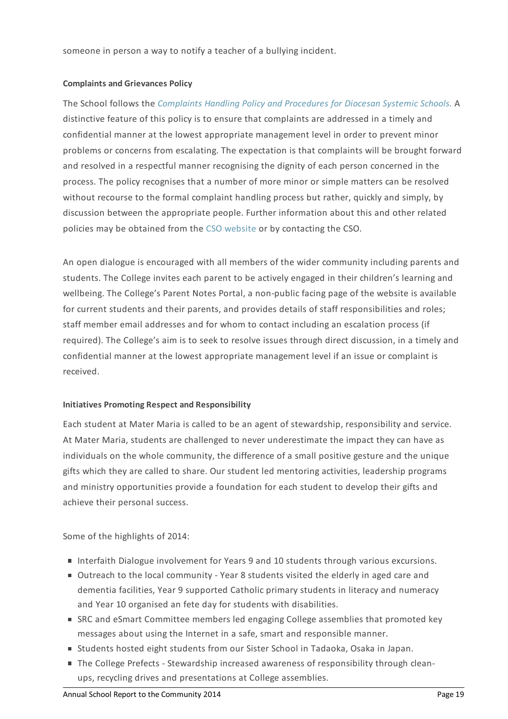someone in person a way to notify a teacher of a bullying incident.

#### **Complaints and Grievances Policy**

The School follows the *[Complaints](https://www.csodbb.catholic.edu.au/about/dsp-collection.cfm?loadref=125) Handling Policy and Procedures for Diocesan Systemic Schools.* A distinctive feature of this policy is to ensure that complaints are addressed in a timely and confidential manner at the lowest appropriate management level in order to prevent minor problems or concerns from escalating. The expectation is that complaints will be brought forward and resolved in a respectful manner recognising the dignity of each person concerned in the process. The policy recognises that a number of more minor or simple matters can be resolved without recourse to the formal complaint handling process but rather, quickly and simply, by discussion between the appropriate people. Further information about this and other related policies may be obtained from the CSO [website](https://www.csodbb.catholic.edu.au/about/dsp-collection.cfm?loadref=125) or by contacting the CSO.

An open dialogue is encouraged with all members of the wider community including parents and students. The College invites each parent to be actively engaged in their children's learning and wellbeing. The College's Parent Notes Portal, a non-public facing page of the website is available for current students and their parents, and provides details of staff responsibilities and roles; staff member email addresses and for whom to contact including an escalation process (if required). The College's aim is to seek to resolve issues through direct discussion, in a timely and confidential manner at the lowest appropriate management level if an issue or complaint is received.

# **Initiatives Promoting Respect and Responsibility**

Each student at Mater Maria is called to be an agent of stewardship, responsibility and service. At Mater Maria, students are challenged to never underestimate the impact they can have as individuals on the whole community, the difference of a small positive gesture and the unique gifts which they are called to share. Our student led mentoring activities, leadership programs and ministry opportunities provide a foundation for each student to develop their gifts and achieve their personal success.

Some of the highlights of 2014:

- Interfaith Dialogue involvement for Years 9 and 10 students through various excursions.
- Outreach to the local community Year 8 students visited the elderly in aged care and dementia facilities, Year 9 supported Catholic primary students in literacy and numeracy and Year 10 organised an fete day for students with disabilities.
- SRC and eSmart Committee members led engaging College assemblies that promoted key messages about using the Internet in a safe, smart and responsible manner.
- Students hosted eight students from our Sister School in Tadaoka, Osaka in Japan.
- The College Prefects Stewardship increased awareness of responsibility through cleanups, recycling drives and presentations at College assemblies.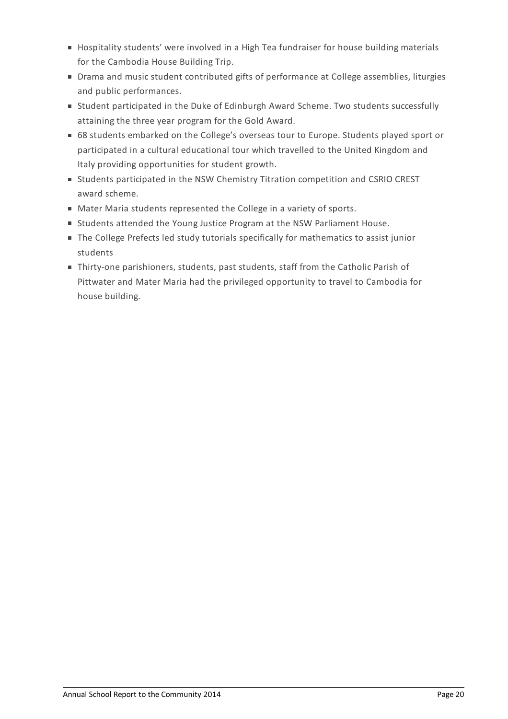- **Hospitality students' were involved in a High Tea fundraiser for house building materials** for the Cambodia House Building Trip.
- **Drama and music student contributed gifts of performance at College assemblies, liturgies** and public performances.
- Student participated in the Duke of Edinburgh Award Scheme. Two students successfully attaining the three year program for the Gold Award.
- 68 students embarked on the College's overseas tour to Europe. Students played sport or participated in a cultural educational tour which travelled to the United Kingdom and Italy providing opportunities for student growth.
- Students participated in the NSW Chemistry Titration competition and CSRIO CREST award scheme.
- Mater Maria students represented the College in a variety of sports.
- Students attended the Young Justice Program at the NSW Parliament House.
- The College Prefects led study tutorials specifically for mathematics to assist junior students
- Thirty-one parishioners, students, past students, staff from the Catholic Parish of Pittwater and Mater Maria had the privileged opportunity to travel to Cambodia for house building.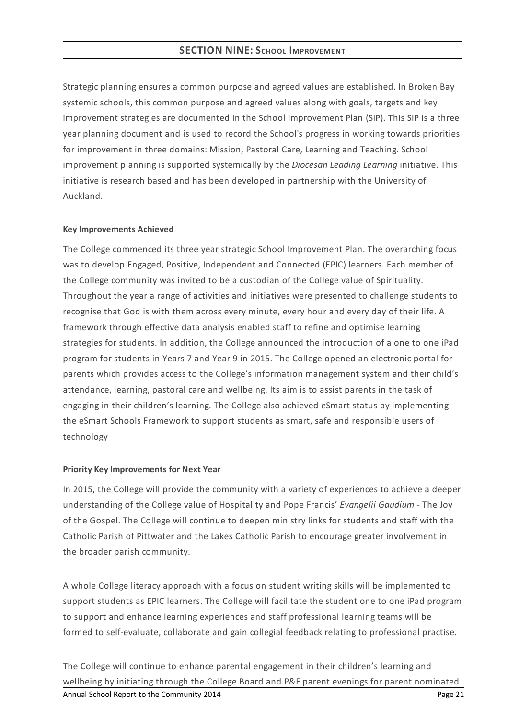Strategic planning ensures a common purpose and agreed values are established. In Broken Bay systemic schools, this common purpose and agreed values along with goals, targets and key improvement strategies are documented in the School Improvement Plan (SIP). This SIP is a three year planning document and is used to record the School's progress in working towards priorities for improvement in three domains: Mission, Pastoral Care, Learning and Teaching. School improvement planning is supported systemically by the *Diocesan Leading Learning* initiative. This initiative is research based and has been developed in partnership with the University of Auckland.

#### **KeyImprovements Achieved**

The College commenced its three year strategic School Improvement Plan. The overarching focus was to develop Engaged, Positive, Independent and Connected (EPIC) learners. Each member of the College community was invited to be a custodian of the College value of Spirituality. Throughout the year a range of activities and initiatives were presented to challenge students to recognise that God is with them across every minute, every hour and every day of their life. A framework through effective data analysis enabled staff to refine and optimise learning strategies for students. In addition, the College announced the introduction of a one to one iPad program for students in Years 7 and Year 9 in 2015. The College opened an electronic portal for parents which provides access to the College's information management system and their child's attendance, learning, pastoral care and wellbeing. Its aim is to assist parents in the task of engaging in their children's learning. The College also achieved eSmart status by implementing the eSmart Schools Framework to support students as smart, safe and responsible users of technology

#### **Priority KeyImprovements for Next Year**

In 2015, the College will provide the community with a variety of experiences to achieve a deeper understanding of the College value of Hospitality and Pope Francis' *Evangelii Gaudium* - The Joy of the Gospel. The College will continue to deepen ministry links for students and staff with the Catholic Parish of Pittwater and the Lakes Catholic Parish to encourage greater involvement in the broader parish community.

A whole College literacy approach with a focus on student writing skills will be implemented to support students as EPIC learners. The College will facilitate the student one to one iPad program to support and enhance learning experiences and staff professional learning teams will be formed to self-evaluate, collaborate and gain collegial feedback relating to professional practise.

The College will continue to enhance parental engagement in their children's learning and wellbeing by initiating through the College Board and P&F parent evenings for parent nominated Annual School Report to the Community 2014 **Page 21 Page 21 Page 21**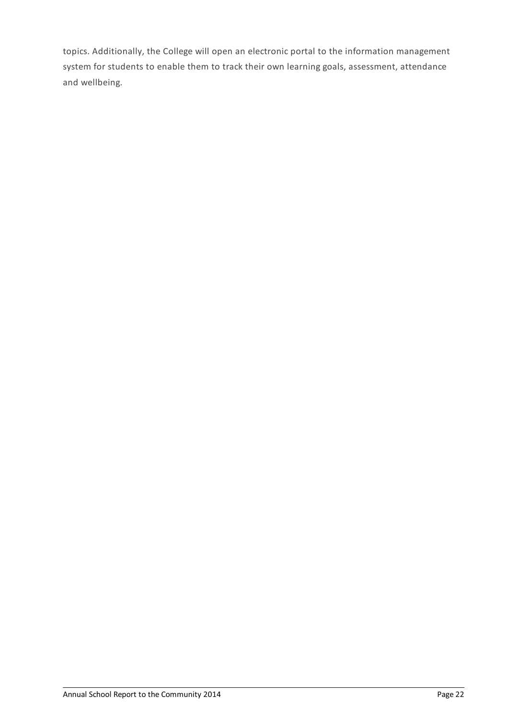topics. Additionally, the College will open an electronic portal to the information management system for students to enable them to track their own learning goals, assessment, attendance and wellbeing.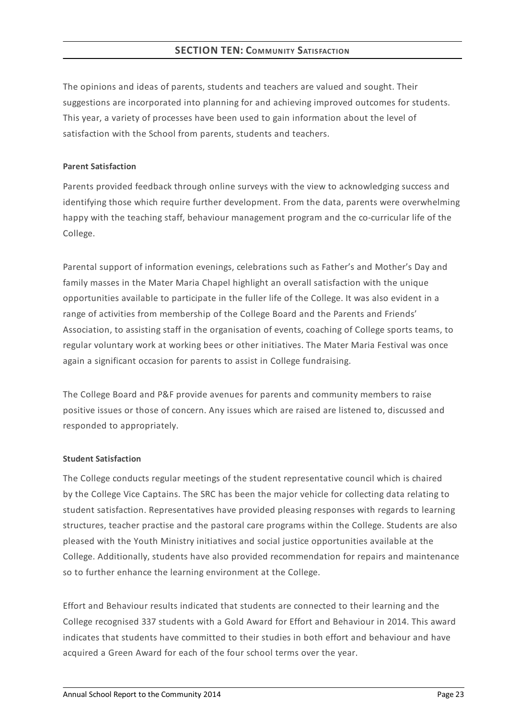The opinions and ideas of parents, students and teachers are valued and sought. Their suggestions are incorporated into planning for and achieving improved outcomes for students. This year, a variety of processes have been used to gain information about the level of satisfaction with the School from parents, students and teachers.

#### **Parent Satisfaction**

Parents provided feedback through online surveys with the view to acknowledging success and identifying those which require further development. From the data, parents were overwhelming happy with the teaching staff, behaviour management program and the co-curricular life of the College.

Parental support of information evenings, celebrations such as Father's and Mother's Day and family masses in the Mater Maria Chapel highlight an overall satisfaction with the unique opportunities available to participate in the fuller life of the College. It was also evident in a range of activities from membership of the College Board and the Parents and Friends' Association, to assisting staff in the organisation of events, coaching of College sports teams, to regular voluntary work at working bees or other initiatives. The Mater Maria Festival was once again a significant occasion for parents to assist in College fundraising.

The College Board and P&F provide avenues for parents and community members to raise positive issues or those of concern. Any issues which are raised are listened to, discussed and responded to appropriately.

#### **Student Satisfaction**

The College conducts regular meetings of the student representative council which is chaired by the College Vice Captains. The SRC has been the major vehicle for collecting data relating to student satisfaction. Representatives have provided pleasing responses with regards to learning structures, teacher practise and the pastoral care programs within the College. Students are also pleased with the Youth Ministry initiatives and social justice opportunities available at the College. Additionally, students have also provided recommendation for repairs and maintenance so to further enhance the learning environment at the College.

Effort and Behaviour results indicated that students are connected to their learning and the College recognised 337 students with a Gold Award for Effort and Behaviour in 2014. This award indicates that students have committed to their studies in both effort and behaviour and have acquired a Green Award for each of the four school terms over the year.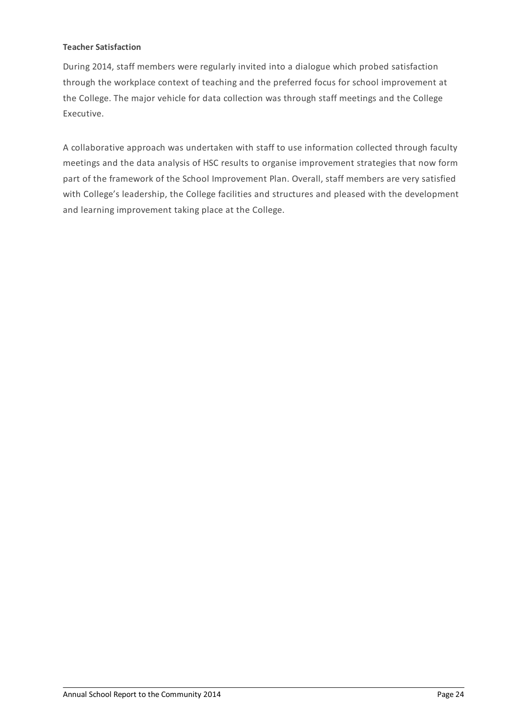#### **Teacher Satisfaction**

During 2014, staff members were regularly invited into a dialogue which probed satisfaction through the workplace context of teaching and the preferred focus for school improvement at the College. The major vehicle for data collection was through staff meetings and the College Executive.

A collaborative approach was undertaken with staff to use information collected through faculty meetings and the data analysis of HSC results to organise improvement strategies that now form part of the framework of the School Improvement Plan. Overall, staff members are very satisfied with College's leadership, the College facilities and structures and pleased with the development and learning improvement taking place at the College.